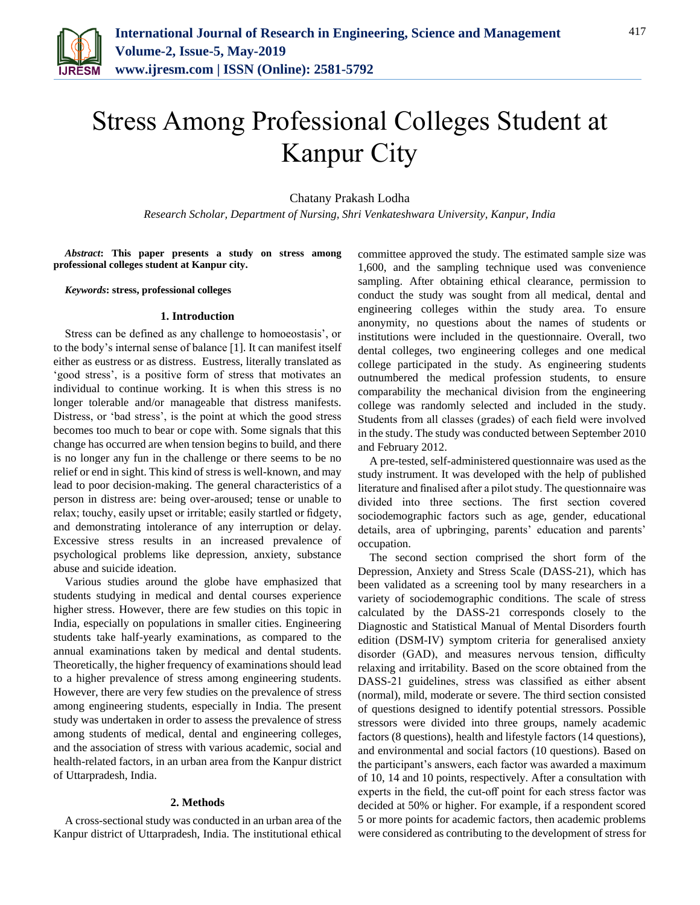

# Stress Among Professional Colleges Student at Kanpur City

Chatany Prakash Lodha

*Research Scholar, Department of Nursing, Shri Venkateshwara University, Kanpur, India*

*Abstract***: This paper presents a study on stress among professional colleges student at Kanpur city.**

*Keywords***: stress, professional colleges**

#### **1. Introduction**

Stress can be defined as any challenge to homoeostasis', or to the body's internal sense of balance [1]. It can manifest itself either as eustress or as distress. Eustress, literally translated as 'good stress', is a positive form of stress that motivates an individual to continue working. It is when this stress is no longer tolerable and/or manageable that distress manifests. Distress, or 'bad stress', is the point at which the good stress becomes too much to bear or cope with. Some signals that this change has occurred are when tension begins to build, and there is no longer any fun in the challenge or there seems to be no relief or end in sight. This kind of stress is well-known, and may lead to poor decision-making. The general characteristics of a person in distress are: being over-aroused; tense or unable to relax; touchy, easily upset or irritable; easily startled or fidgety, and demonstrating intolerance of any interruption or delay. Excessive stress results in an increased prevalence of psychological problems like depression, anxiety, substance abuse and suicide ideation.

Various studies around the globe have emphasized that students studying in medical and dental courses experience higher stress. However, there are few studies on this topic in India, especially on populations in smaller cities. Engineering students take half-yearly examinations, as compared to the annual examinations taken by medical and dental students. Theoretically, the higher frequency of examinations should lead to a higher prevalence of stress among engineering students. However, there are very few studies on the prevalence of stress among engineering students, especially in India. The present study was undertaken in order to assess the prevalence of stress among students of medical, dental and engineering colleges, and the association of stress with various academic, social and health-related factors, in an urban area from the Kanpur district of Uttarpradesh, India.

### **2. Methods**

A cross-sectional study was conducted in an urban area of the Kanpur district of Uttarpradesh, India. The institutional ethical

committee approved the study. The estimated sample size was 1,600, and the sampling technique used was convenience sampling. After obtaining ethical clearance, permission to conduct the study was sought from all medical, dental and engineering colleges within the study area. To ensure anonymity, no questions about the names of students or institutions were included in the questionnaire. Overall, two dental colleges, two engineering colleges and one medical college participated in the study. As engineering students outnumbered the medical profession students, to ensure comparability the mechanical division from the engineering college was randomly selected and included in the study. Students from all classes (grades) of each field were involved in the study. The study was conducted between September 2010 and February 2012.

A pre-tested, self-administered questionnaire was used as the study instrument. It was developed with the help of published literature and finalised after a pilot study. The questionnaire was divided into three sections. The first section covered sociodemographic factors such as age, gender, educational details, area of upbringing, parents' education and parents' occupation.

The second section comprised the short form of the Depression, Anxiety and Stress Scale (DASS-21), which has been validated as a screening tool by many researchers in a variety of sociodemographic conditions. The scale of stress calculated by the DASS-21 corresponds closely to the Diagnostic and Statistical Manual of Mental Disorders fourth edition (DSM-IV) symptom criteria for generalised anxiety disorder (GAD), and measures nervous tension, difficulty relaxing and irritability. Based on the score obtained from the DASS-21 guidelines, stress was classified as either absent (normal), mild, moderate or severe. The third section consisted of questions designed to identify potential stressors. Possible stressors were divided into three groups, namely academic factors (8 questions), health and lifestyle factors (14 questions), and environmental and social factors (10 questions). Based on the participant's answers, each factor was awarded a maximum of 10, 14 and 10 points, respectively. After a consultation with experts in the field, the cut-off point for each stress factor was decided at 50% or higher. For example, if a respondent scored 5 or more points for academic factors, then academic problems were considered as contributing to the development of stress for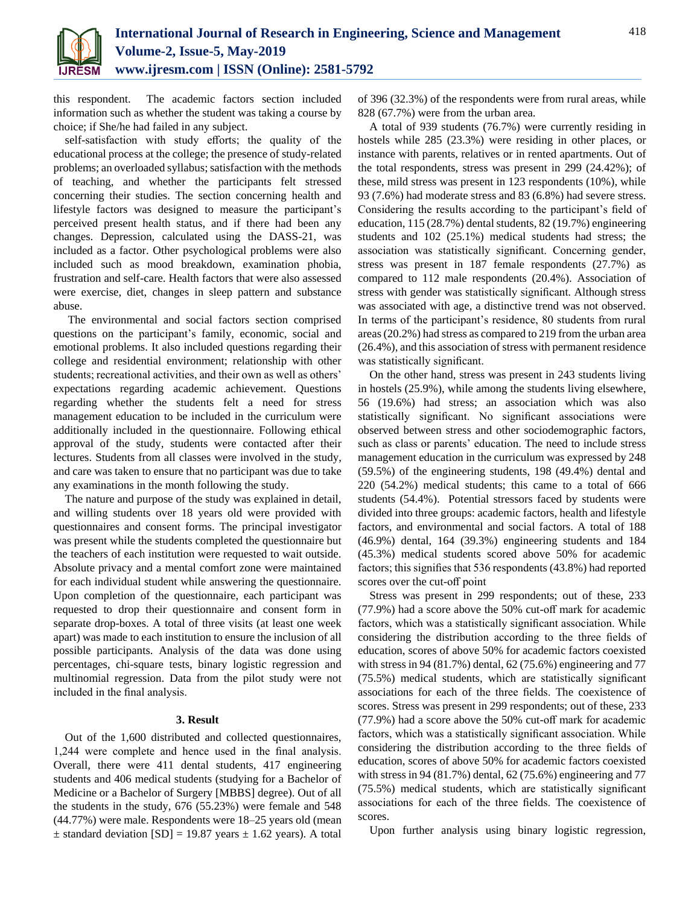

this respondent. The academic factors section included information such as whether the student was taking a course by choice; if She/he had failed in any subject.

self-satisfaction with study efforts; the quality of the educational process at the college; the presence of study-related problems; an overloaded syllabus; satisfaction with the methods of teaching, and whether the participants felt stressed concerning their studies. The section concerning health and lifestyle factors was designed to measure the participant's perceived present health status, and if there had been any changes. Depression, calculated using the DASS-21, was included as a factor. Other psychological problems were also included such as mood breakdown, examination phobia, frustration and self-care. Health factors that were also assessed were exercise, diet, changes in sleep pattern and substance abuse.

The environmental and social factors section comprised questions on the participant's family, economic, social and emotional problems. It also included questions regarding their college and residential environment; relationship with other students; recreational activities, and their own as well as others' expectations regarding academic achievement. Questions regarding whether the students felt a need for stress management education to be included in the curriculum were additionally included in the questionnaire. Following ethical approval of the study, students were contacted after their lectures. Students from all classes were involved in the study, and care was taken to ensure that no participant was due to take any examinations in the month following the study.

The nature and purpose of the study was explained in detail, and willing students over 18 years old were provided with questionnaires and consent forms. The principal investigator was present while the students completed the questionnaire but the teachers of each institution were requested to wait outside. Absolute privacy and a mental comfort zone were maintained for each individual student while answering the questionnaire. Upon completion of the questionnaire, each participant was requested to drop their questionnaire and consent form in separate drop-boxes. A total of three visits (at least one week apart) was made to each institution to ensure the inclusion of all possible participants. Analysis of the data was done using percentages, chi-square tests, binary logistic regression and multinomial regression. Data from the pilot study were not included in the final analysis.

#### **3. Result**

Out of the 1,600 distributed and collected questionnaires, 1,244 were complete and hence used in the final analysis. Overall, there were 411 dental students, 417 engineering students and 406 medical students (studying for a Bachelor of Medicine or a Bachelor of Surgery [MBBS] degree). Out of all the students in the study, 676 (55.23%) were female and 548 (44.77%) were male. Respondents were 18–25 years old (mean  $\pm$  standard deviation [SD] = 19.87 years  $\pm$  1.62 years). A total

of 396 (32.3%) of the respondents were from rural areas, while 828 (67.7%) were from the urban area.

A total of 939 students (76.7%) were currently residing in hostels while 285 (23.3%) were residing in other places, or instance with parents, relatives or in rented apartments. Out of the total respondents, stress was present in 299 (24.42%); of these, mild stress was present in 123 respondents (10%), while 93 (7.6%) had moderate stress and 83 (6.8%) had severe stress. Considering the results according to the participant's field of education, 115 (28.7%) dental students, 82 (19.7%) engineering students and 102 (25.1%) medical students had stress; the association was statistically significant. Concerning gender, stress was present in 187 female respondents (27.7%) as compared to 112 male respondents (20.4%). Association of stress with gender was statistically significant. Although stress was associated with age, a distinctive trend was not observed. In terms of the participant's residence, 80 students from rural areas (20.2%) had stress as compared to 219 from the urban area (26.4%), and this association of stress with permanent residence was statistically significant.

On the other hand, stress was present in 243 students living in hostels (25.9%), while among the students living elsewhere, 56 (19.6%) had stress; an association which was also statistically significant. No significant associations were observed between stress and other sociodemographic factors, such as class or parents' education. The need to include stress management education in the curriculum was expressed by 248 (59.5%) of the engineering students, 198 (49.4%) dental and 220 (54.2%) medical students; this came to a total of 666 students (54.4%). Potential stressors faced by students were divided into three groups: academic factors, health and lifestyle factors, and environmental and social factors. A total of 188 (46.9%) dental, 164 (39.3%) engineering students and 184 (45.3%) medical students scored above 50% for academic factors; this signifies that 536 respondents (43.8%) had reported scores over the cut-off point

Stress was present in 299 respondents; out of these, 233 (77.9%) had a score above the 50% cut-off mark for academic factors, which was a statistically significant association. While considering the distribution according to the three fields of education, scores of above 50% for academic factors coexisted with stress in 94 (81.7%) dental, 62 (75.6%) engineering and 77 (75.5%) medical students, which are statistically significant associations for each of the three fields. The coexistence of scores. Stress was present in 299 respondents; out of these, 233 (77.9%) had a score above the 50% cut-off mark for academic factors, which was a statistically significant association. While considering the distribution according to the three fields of education, scores of above 50% for academic factors coexisted with stress in 94 (81.7%) dental, 62 (75.6%) engineering and 77 (75.5%) medical students, which are statistically significant associations for each of the three fields. The coexistence of scores.

Upon further analysis using binary logistic regression,